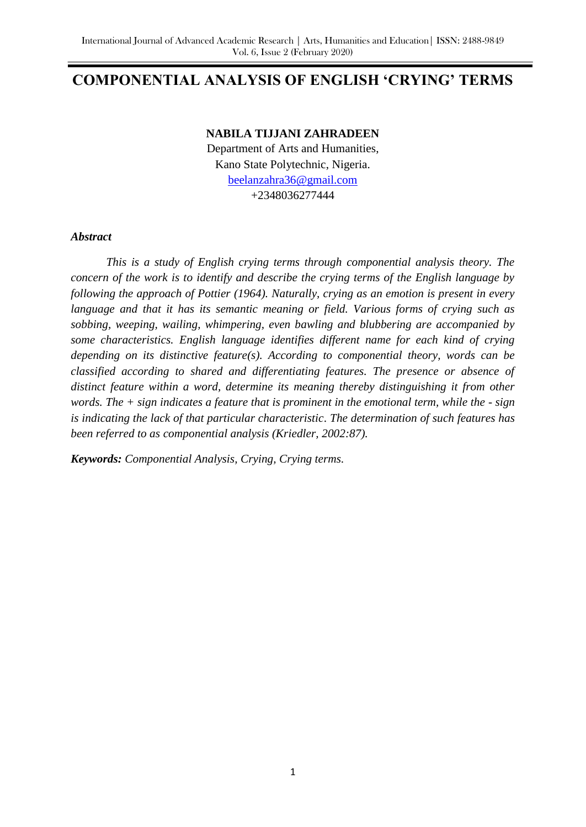# **COMPONENTIAL ANALYSIS OF ENGLISH 'CRYING' TERMS**

#### **NABILA TIJJANI ZAHRADEEN**

Department of Arts and Humanities, Kano State Polytechnic, Nigeria. [beelanzahra36@gmail.com](mailto:beelanzahra36@gmail.com) +2348036277444

#### *Abstract*

*This is a study of English crying terms through componential analysis theory. The concern of the work is to identify and describe the crying terms of the English language by following the approach of Pottier (1964). Naturally, crying as an emotion is present in every language and that it has its semantic meaning or field. Various forms of crying such as sobbing, weeping, wailing, whimpering, even bawling and blubbering are accompanied by some characteristics. English language identifies different name for each kind of crying depending on its distinctive feature(s). According to componential theory, words can be classified according to shared and differentiating features. The presence or absence of distinct feature within a word, determine its meaning thereby distinguishing it from other words. The + sign indicates a feature that is prominent in the emotional term, while the - sign is indicating the lack of that particular characteristic*. *The determination of such features has been referred to as componential analysis (Kriedler, 2002:87).* 

*Keywords: Componential Analysis, Crying, Crying terms.*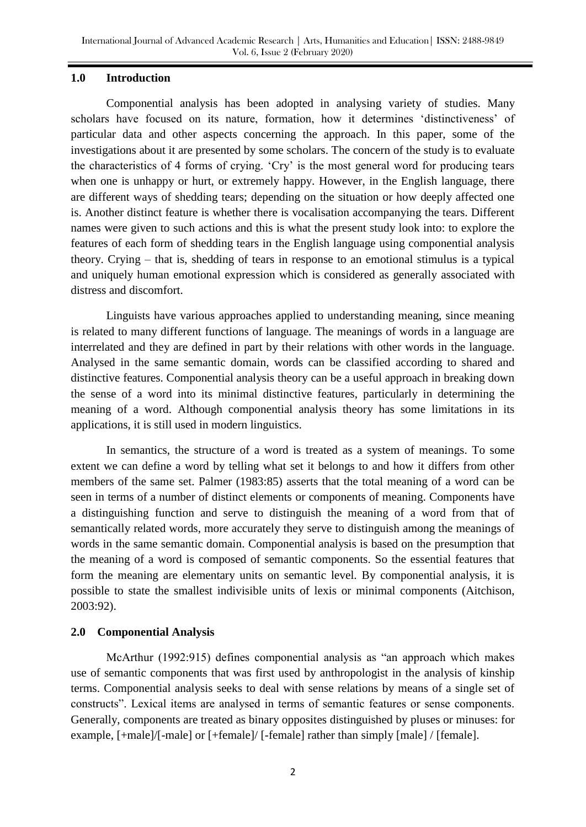#### **1.0 Introduction**

Componential analysis has been adopted in analysing variety of studies. Many scholars have focused on its nature, formation, how it determines 'distinctiveness' of particular data and other aspects concerning the approach. In this paper, some of the investigations about it are presented by some scholars. The concern of the study is to evaluate the characteristics of 4 forms of crying. "Cry" is the most general word for producing tears when one is unhappy or hurt, or extremely happy. However, in the English language, there are different ways of shedding tears; depending on the situation or how deeply affected one is. Another distinct feature is whether there is vocalisation accompanying the tears. Different names were given to such actions and this is what the present study look into: to explore the features of each form of shedding tears in the English language using componential analysis theory. Crying – that is, shedding of tears in response to an emotional stimulus is a typical and uniquely human emotional expression which is considered as generally associated with distress and discomfort.

Linguists have various approaches applied to understanding meaning, since meaning is related to many different functions of language. The meanings of words in a language are interrelated and they are defined in part by their relations with other words in the language. Analysed in the same semantic domain, words can be classified according to shared and distinctive features. Componential analysis theory can be a useful approach in breaking down the sense of a word into its minimal distinctive features, particularly in determining the meaning of a word. Although componential analysis theory has some limitations in its applications, it is still used in modern linguistics.

In semantics, the structure of a word is treated as a system of meanings. To some extent we can define a word by telling what set it belongs to and how it differs from other members of the same set. Palmer (1983:85) asserts that the total meaning of a word can be seen in terms of a number of distinct elements or components of meaning. Components have a distinguishing function and serve to distinguish the meaning of a word from that of semantically related words, more accurately they serve to distinguish among the meanings of words in the same semantic domain. Componential analysis is based on the presumption that the meaning of a word is composed of semantic components. So the essential features that form the meaning are elementary units on semantic level. By componential analysis, it is possible to state the smallest indivisible units of lexis or minimal components (Aitchison, 2003:92).

## **2.0 Componential Analysis**

McArthur (1992:915) defines componential analysis as "an approach which makes use of semantic components that was first used by anthropologist in the analysis of kinship terms. Componential analysis seeks to deal with sense relations by means of a single set of constructs". Lexical items are analysed in terms of semantic features or sense components. Generally, components are treated as binary opposites distinguished by pluses or minuses: for example, [+male]/[-male] or [+female]/ [-female] rather than simply [male] / [female].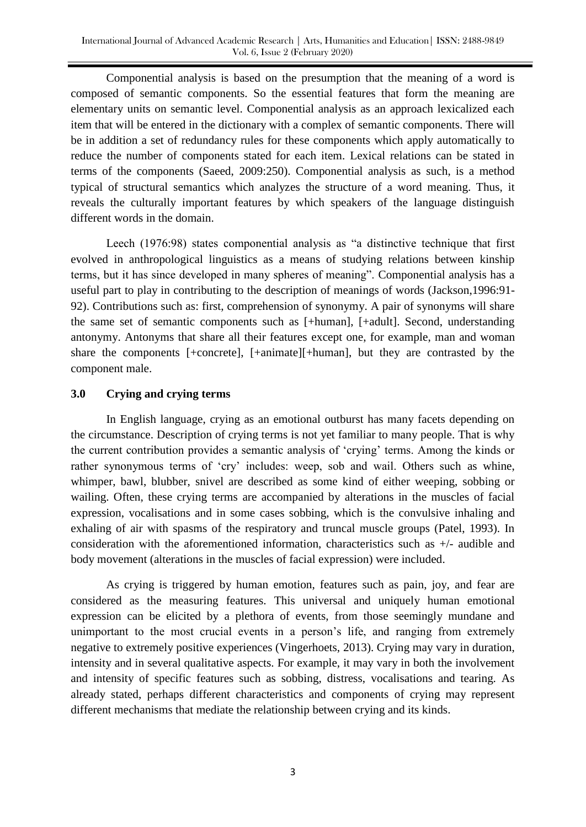Componential analysis is based on the presumption that the meaning of a word is composed of semantic components. So the essential features that form the meaning are elementary units on semantic level. Componential analysis as an approach lexicalized each item that will be entered in the dictionary with a complex of semantic components. There will be in addition a set of redundancy rules for these components which apply automatically to reduce the number of components stated for each item. Lexical relations can be stated in terms of the components (Saeed, 2009:250). Componential analysis as such, is a method typical of structural semantics which analyzes the structure of a word meaning. Thus, it reveals the culturally important features by which speakers of the language distinguish different words in the domain.

Leech (1976:98) states componential analysis as "a distinctive technique that first evolved in anthropological linguistics as a means of studying relations between kinship terms, but it has since developed in many spheres of meaning". Componential analysis has a useful part to play in contributing to the description of meanings of words (Jackson,1996:91- 92). Contributions such as: first, comprehension of synonymy. A pair of synonyms will share the same set of semantic components such as [+human], [+adult]. Second, understanding antonymy. Antonyms that share all their features except one, for example, man and woman share the components [+concrete], [+animate][+human], but they are contrasted by the component male.

## **3.0 Crying and crying terms**

In English language, crying as an emotional outburst has many facets depending on the circumstance. Description of crying terms is not yet familiar to many people. That is why the current contribution provides a semantic analysis of "crying" terms. Among the kinds or rather synonymous terms of 'cry' includes: weep, sob and wail. Others such as whine, whimper, bawl, blubber, snivel are described as some kind of either weeping, sobbing or wailing. Often, these crying terms are accompanied by alterations in the muscles of facial expression, vocalisations and in some cases sobbing, which is the convulsive inhaling and exhaling of air with spasms of the respiratory and truncal muscle groups (Patel, 1993). In consideration with the aforementioned information, characteristics such as +/- audible and body movement (alterations in the muscles of facial expression) were included.

As crying is triggered by human emotion, features such as pain, joy, and fear are considered as the measuring features. This universal and uniquely human emotional expression can be elicited by a plethora of events, from those seemingly mundane and unimportant to the most crucial events in a person"s life, and ranging from extremely negative to extremely positive experiences (Vingerhoets, 2013). Crying may vary in duration, intensity and in several qualitative aspects. For example, it may vary in both the involvement and intensity of specific features such as sobbing, distress, vocalisations and tearing. As already stated, perhaps different characteristics and components of crying may represent different mechanisms that mediate the relationship between crying and its kinds.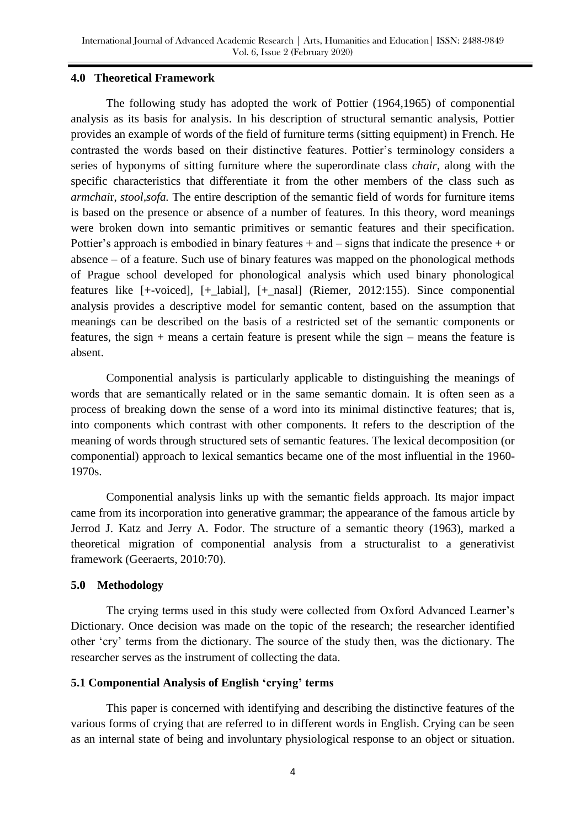#### **4.0 Theoretical Framework**

The following study has adopted the work of Pottier (1964,1965) of componential analysis as its basis for analysis. In his description of structural semantic analysis, Pottier provides an example of words of the field of furniture terms (sitting equipment) in French. He contrasted the words based on their distinctive features. Pottier"s terminology considers a series of hyponyms of sitting furniture where the superordinate class *chair*, along with the specific characteristics that differentiate it from the other members of the class such as *armchai*r, *stool,sofa.* The entire description of the semantic field of words for furniture items is based on the presence or absence of a number of features. In this theory, word meanings were broken down into semantic primitives or semantic features and their specification. Pottier's approach is embodied in binary features  $+$  and  $-$  signs that indicate the presence  $+$  or absence – of a feature. Such use of binary features was mapped on the phonological methods of Prague school developed for phonological analysis which used binary phonological features like [+-voiced], [+\_labial], [+\_nasal] (Riemer, 2012:155). Since componential analysis provides a descriptive model for semantic content, based on the assumption that meanings can be described on the basis of a restricted set of the semantic components or features, the sign + means a certain feature is present while the sign – means the feature is absent.

Componential analysis is particularly applicable to distinguishing the meanings of words that are semantically related or in the same semantic domain. It is often seen as a process of breaking down the sense of a word into its minimal distinctive features; that is, into components which contrast with other components. It refers to the description of the meaning of words through structured sets of semantic features. The lexical decomposition (or componential) approach to lexical semantics became one of the most influential in the 1960- 1970s.

Componential analysis links up with the semantic fields approach. Its major impact came from its incorporation into generative grammar; the appearance of the famous article by Jerrod J. Katz and Jerry A. Fodor. The structure of a semantic theory (1963), marked a theoretical migration of componential analysis from a structuralist to a generativist framework (Geeraerts, 2010:70).

## **5.0 Methodology**

The crying terms used in this study were collected from Oxford Advanced Learner"s Dictionary. Once decision was made on the topic of the research; the researcher identified other "cry" terms from the dictionary. The source of the study then, was the dictionary. The researcher serves as the instrument of collecting the data.

## **5.1 Componential Analysis of English 'crying' terms**

This paper is concerned with identifying and describing the distinctive features of the various forms of crying that are referred to in different words in English. Crying can be seen as an internal state of being and involuntary physiological response to an object or situation.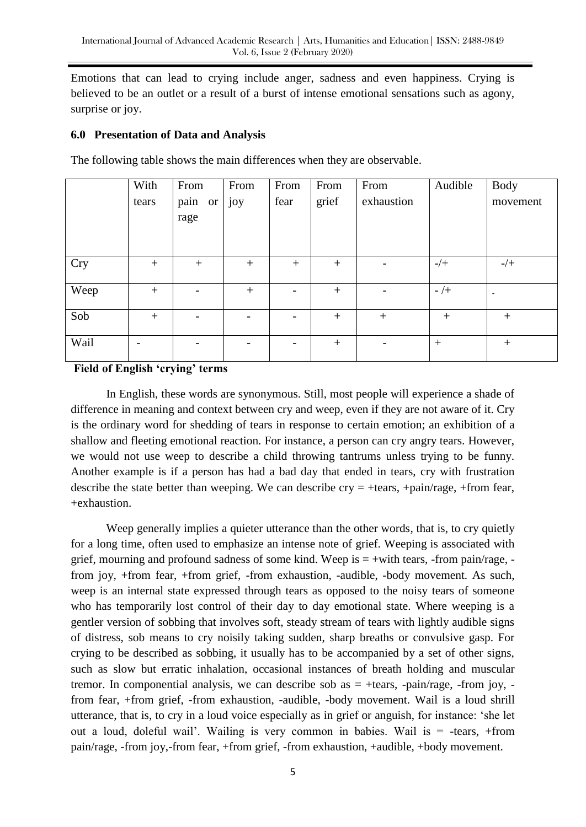Emotions that can lead to crying include anger, sadness and even happiness. Crying is believed to be an outlet or a result of a burst of intense emotional sensations such as agony, surprise or joy.

## **6.0 Presentation of Data and Analysis**

With tears From pain or rage From joy From fear From grief From exhaustion Audible Body movement Cry + + + + + - -/+ -/+ Weep  $+$   $+$   $+$   $+$   $+$   $-$ Sob | + | - | - | - | + | + | + | + Wail - - - - + - + +

The following table shows the main differences when they are observable.

## **Field of English 'crying' terms**

In English, these words are synonymous. Still, most people will experience a shade of difference in meaning and context between cry and weep, even if they are not aware of it. Cry is the ordinary word for shedding of tears in response to certain emotion; an exhibition of a shallow and fleeting emotional reaction. For instance, a person can cry angry tears. However, we would not use weep to describe a child throwing tantrums unless trying to be funny. Another example is if a person has had a bad day that ended in tears, cry with frustration describe the state better than weeping. We can describe  $\text{cry} = +\text{tears}, +\text{pain/rage}, +\text{from fear},$ +exhaustion.

Weep generally implies a quieter utterance than the other words, that is, to cry quietly for a long time, often used to emphasize an intense note of grief. Weeping is associated with grief, mourning and profound sadness of some kind. Weep is  $= +$ with tears,  $-$ from pain/rage,  $$ from joy, +from fear, +from grief, -from exhaustion, -audible, -body movement. As such, weep is an internal state expressed through tears as opposed to the noisy tears of someone who has temporarily lost control of their day to day emotional state. Where weeping is a gentler version of sobbing that involves soft, steady stream of tears with lightly audible signs of distress, sob means to cry noisily taking sudden, sharp breaths or convulsive gasp. For crying to be described as sobbing, it usually has to be accompanied by a set of other signs, such as slow but erratic inhalation, occasional instances of breath holding and muscular tremor. In componential analysis, we can describe sob as  $= +\text{tears}$ ,  $-\text{pain/rage}$ ,  $-\text{from joy}$ ,  $-\text{to y}$ from fear, +from grief, -from exhaustion, -audible, -body movement. Wail is a loud shrill utterance, that is, to cry in a loud voice especially as in grief or anguish, for instance: "she let out a loud, doleful wail". Wailing is very common in babies. Wail is = -tears, +from pain/rage, -from joy,-from fear, +from grief, -from exhaustion, +audible, +body movement.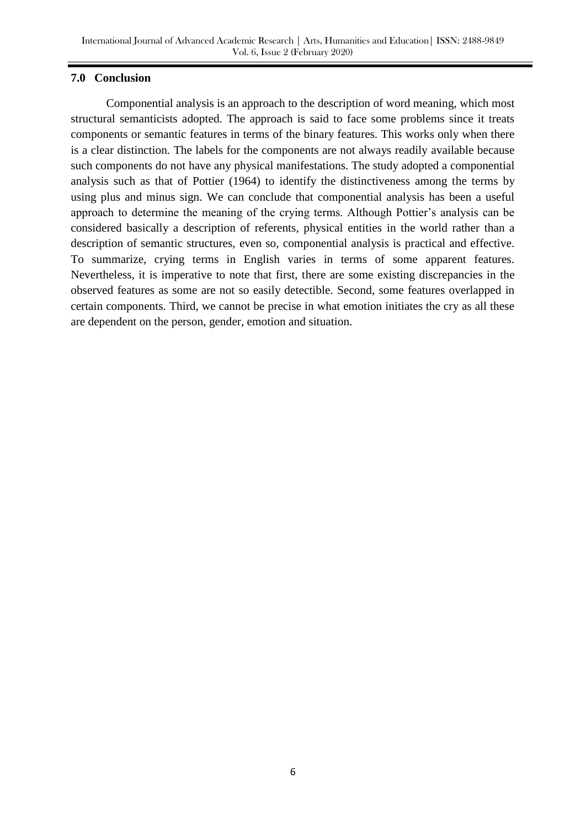#### **7.0 Conclusion**

Componential analysis is an approach to the description of word meaning, which most structural semanticists adopted. The approach is said to face some problems since it treats components or semantic features in terms of the binary features. This works only when there is a clear distinction. The labels for the components are not always readily available because such components do not have any physical manifestations. The study adopted a componential analysis such as that of Pottier (1964) to identify the distinctiveness among the terms by using plus and minus sign. We can conclude that componential analysis has been a useful approach to determine the meaning of the crying terms. Although Pottier's analysis can be considered basically a description of referents, physical entities in the world rather than a description of semantic structures, even so, componential analysis is practical and effective. To summarize, crying terms in English varies in terms of some apparent features. Nevertheless, it is imperative to note that first, there are some existing discrepancies in the observed features as some are not so easily detectible. Second, some features overlapped in certain components. Third, we cannot be precise in what emotion initiates the cry as all these are dependent on the person, gender, emotion and situation.